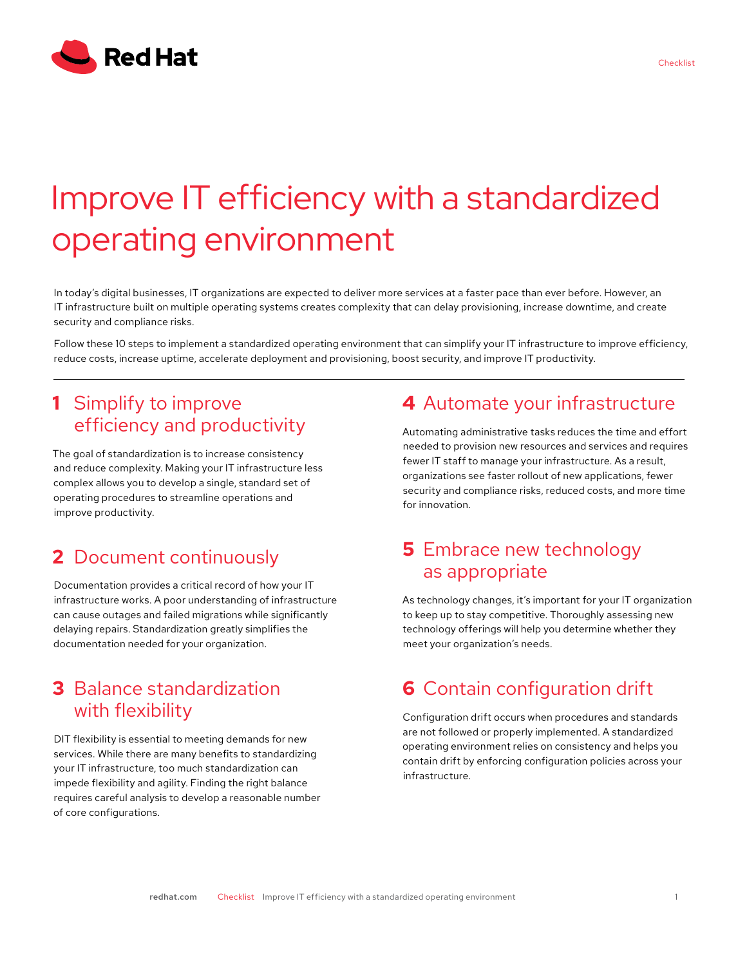

# Improve IT efficiency with a standardized operating environment

In today's digital businesses, IT organizations are expected to deliver more services at a faster pace than ever before. However, an IT infrastructure built on multiple operating systems creates complexity that can delay provisioning, increase downtime, and create security and compliance risks.

Follow these 10 steps to implement a standardized operating environment that can simplify your IT infrastructure to improve efficiency, reduce costs, increase uptime, accelerate deployment and provisioning, boost security, and improve IT productivity.

# **1** Simplify to improve efficiency and productivity

The goal of standardization is to increase consistency and reduce complexity. Making your IT infrastructure less complex allows you to develop a single, standard set of operating procedures to streamline operations and improve productivity.

# **2** Document continuously

Documentation provides a critical record of how your IT infrastructure works. A poor understanding of infrastructure can cause outages and failed migrations while significantly delaying repairs. Standardization greatly simplifies the documentation needed for your organization.

#### **3** Balance standardization with flexibility

DIT flexibility is essential to meeting demands for new services. While there are many benefits to standardizing your IT infrastructure, too much standardization can impede flexibility and agility. Finding the right balance requires careful analysis to develop a reasonable number of core configurations.

# **4** Automate your infrastructure

Automating administrative tasks reduces the time and effort needed to provision new resources and services and requires fewer IT staff to manage your infrastructure. As a result, organizations see faster rollout of new applications, fewer security and compliance risks, reduced costs, and more time for innovation.

# **5** Embrace new technology as appropriate

As technology changes, it's important for your IT organization to keep up to stay competitive. Thoroughly assessing new technology offerings will help you determine whether they meet your organization's needs.

# **6** Contain configuration drift

Configuration drift occurs when procedures and standards are not followed or properly implemented. A standardized operating environment relies on consistency and helps you contain drift by enforcing configuration policies across your infrastructure.